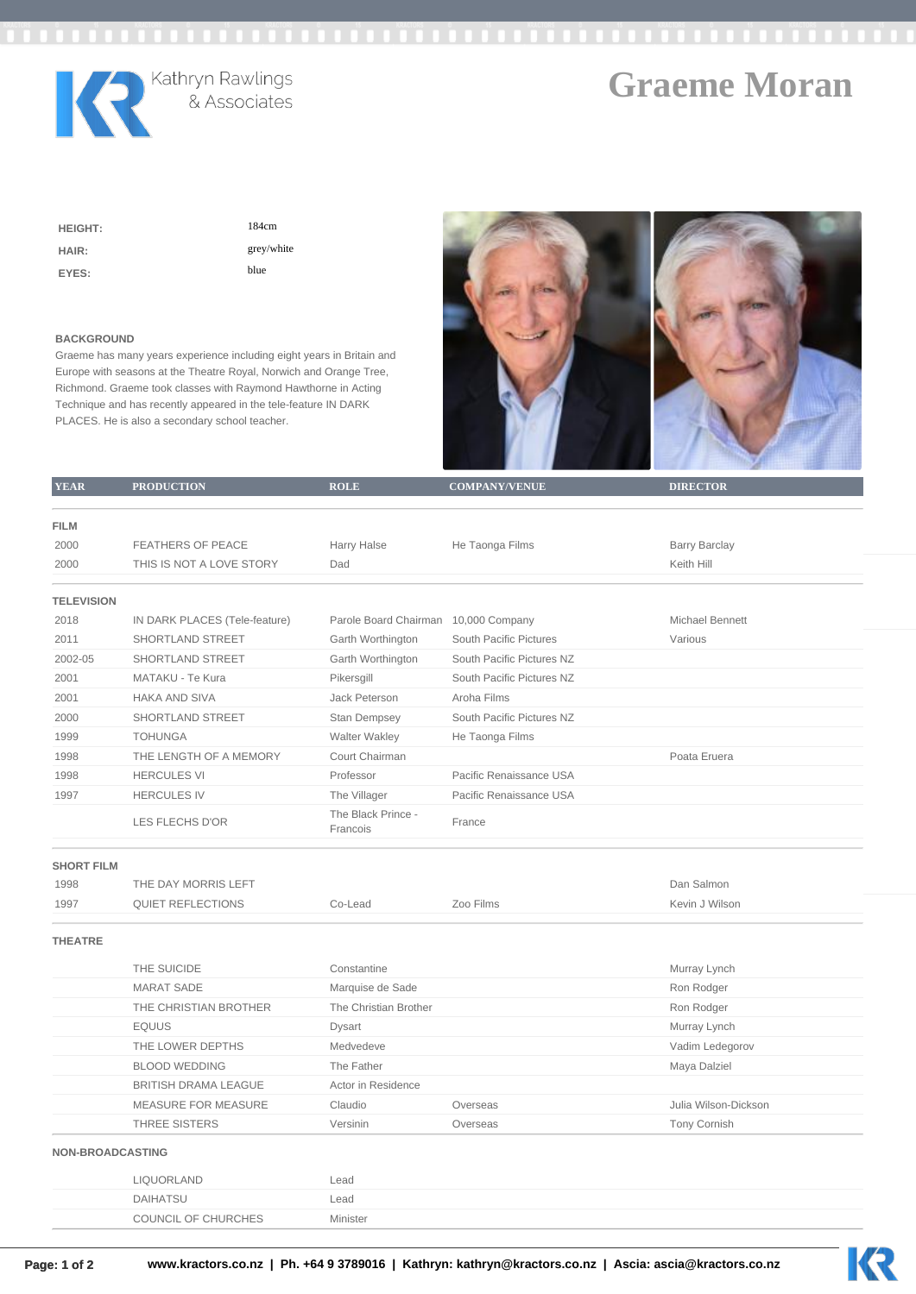

## **Graeme Moran**

| <b>HEIGHT:</b> | 184cm      |
|----------------|------------|
| HAIR:          | grey/white |
| EYES:          | blue       |

## **BACKGROUND**

Graeme has many years experience including eight years in Britain and Europe with seasons at the Theatre Royal, Norwich and Orange Tree, Richmond. Graeme took classes with Raymond Hawthorne in Acting Technique and has recently appeared in the tele-feature IN DARK PLACES. He is also a secondary school teacher.



| <b>YEAR</b>         | <b>PRODUCTION</b>             | <b>ROLE</b>                          | <b>COMPANY/VENUE</b>      | <b>DIRECTOR</b>      |  |
|---------------------|-------------------------------|--------------------------------------|---------------------------|----------------------|--|
|                     |                               |                                      |                           |                      |  |
| <b>FILM</b><br>2000 | <b>FEATHERS OF PEACE</b>      | Harry Halse                          | He Taonga Films           | <b>Barry Barclay</b> |  |
| 2000                | THIS IS NOT A LOVE STORY      | Dad                                  |                           | Keith Hill           |  |
|                     |                               |                                      |                           |                      |  |
| <b>TELEVISION</b>   |                               |                                      |                           |                      |  |
| 2018                | IN DARK PLACES (Tele-feature) | Parole Board Chairman 10,000 Company |                           | Michael Bennett      |  |
| 2011                | SHORTLAND STREET              | Garth Worthington                    | South Pacific Pictures    | Various              |  |
| 2002-05             | SHORTLAND STREET              | Garth Worthington                    | South Pacific Pictures NZ |                      |  |
| 2001                | MATAKU - Te Kura              | Pikersgill                           | South Pacific Pictures NZ |                      |  |
| 2001                | <b>HAKA AND SIVA</b>          | Jack Peterson                        | Aroha Films               |                      |  |
| 2000                | SHORTLAND STREET              | <b>Stan Dempsey</b>                  | South Pacific Pictures NZ |                      |  |
| 1999                | <b>TOHUNGA</b>                | Walter Wakley                        | He Taonga Films           |                      |  |
| 1998                | THE LENGTH OF A MEMORY        | Court Chairman                       |                           | Poata Eruera         |  |
| 1998                | <b>HERCULES VI</b>            | Professor                            | Pacific Renaissance USA   |                      |  |
| 1997                | <b>HERCULES IV</b>            | The Villager                         | Pacific Renaissance USA   |                      |  |
|                     | <b>LES FLECHS D'OR</b>        | The Black Prince -<br>Francois       | France                    |                      |  |
| <b>SHORT FILM</b>   |                               |                                      |                           |                      |  |
| 1998                | THE DAY MORRIS LEFT           |                                      |                           | Dan Salmon           |  |
| 1997                | <b>QUIET REFLECTIONS</b>      | Co-Lead                              | Zoo Films                 | Kevin J Wilson       |  |
| <b>THEATRE</b>      |                               |                                      |                           |                      |  |
|                     | THE SUICIDE                   | Constantine                          |                           | Murray Lynch         |  |
|                     | <b>MARAT SADE</b>             | Marquise de Sade                     |                           | Ron Rodger           |  |
|                     | THE CHRISTIAN BROTHER         | The Christian Brother                |                           | Ron Rodger           |  |
|                     | <b>EQUUS</b>                  | Dysart                               |                           | Murray Lynch         |  |
|                     | THE LOWER DEPTHS              | Medvedeve                            |                           | Vadim Ledegorov      |  |
|                     | <b>BLOOD WEDDING</b>          | The Father                           |                           | Maya Dalziel         |  |
|                     | <b>BRITISH DRAMA LEAGUE</b>   | Actor in Residence                   |                           |                      |  |
|                     | <b>MEASURE FOR MEASURE</b>    | Claudio                              | Overseas                  | Julia Wilson-Dickson |  |
|                     | THREE SISTERS                 | Versinin                             | Overseas                  | <b>Tony Cornish</b>  |  |
|                     | <b>NON-BROADCASTING</b>       |                                      |                           |                      |  |
|                     | LIQUORLAND                    | Lead                                 |                           |                      |  |
|                     | <b>DAIHATSU</b>               | Lead                                 |                           |                      |  |
|                     | COUNCIL OF CHURCHES           | Minister                             |                           |                      |  |
|                     |                               |                                      |                           |                      |  |